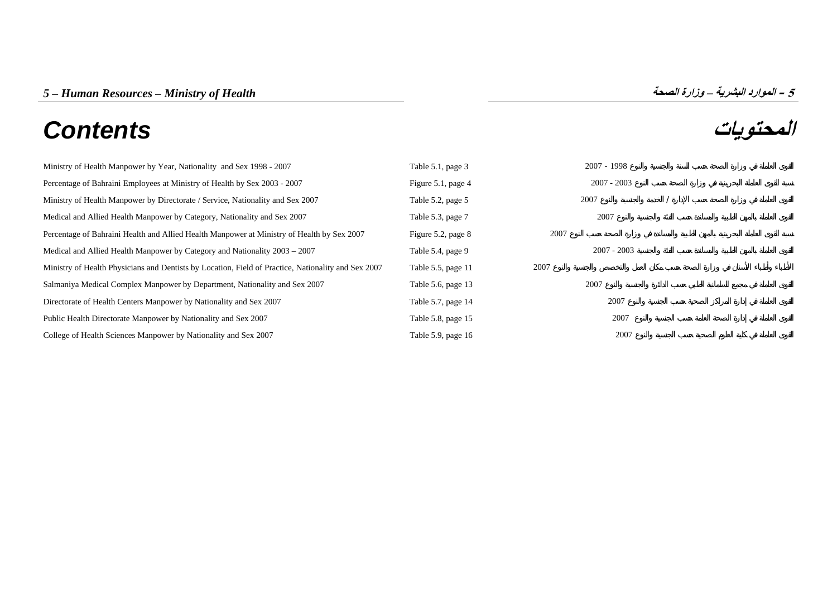# **المحتويات** *Contents*



| Ministry of Health Manpower by Year, Nationality and Sex 1998 - 2007                                | Table 5.1, page 3  | $2007 - 1998$ |  |
|-----------------------------------------------------------------------------------------------------|--------------------|---------------|--|
| Percentage of Bahraini Employees at Ministry of Health by Sex 2003 - 2007                           | Figure 5.1, page 4 | $2007 - 2003$ |  |
| Ministry of Health Manpower by Directorate / Service, Nationality and Sex 2007                      | Table 5.2, page 5  | 2007          |  |
| Medical and Allied Health Manpower by Category, Nationality and Sex 2007                            | Table 5.3, page 7  | 2007          |  |
| Percentage of Bahraini Health and Allied Health Manpower at Ministry of Health by Sex 2007          | Figure 5.2, page 8 | 2007          |  |
| Medical and Allied Health Manpower by Category and Nationality 2003 – 2007                          | Table 5.4, page 9  | $2007 - 2003$ |  |
| Ministry of Health Physicians and Dentists by Location, Field of Practice, Nationality and Sex 2007 | Table 5.5, page 11 | 2007          |  |
| Salmaniya Medical Complex Manpower by Department, Nationality and Sex 2007                          | Table 5.6, page 13 | 2007          |  |
| Directorate of Health Centers Manpower by Nationality and Sex 2007                                  | Table 5.7, page 14 | 2007          |  |
| Public Health Directorate Manpower by Nationality and Sex 2007                                      | Table 5.8, page 15 | 2007          |  |
| College of Health Sciences Manpower by Nationality and Sex 2007                                     | Table 5.9, page 16 | 2007          |  |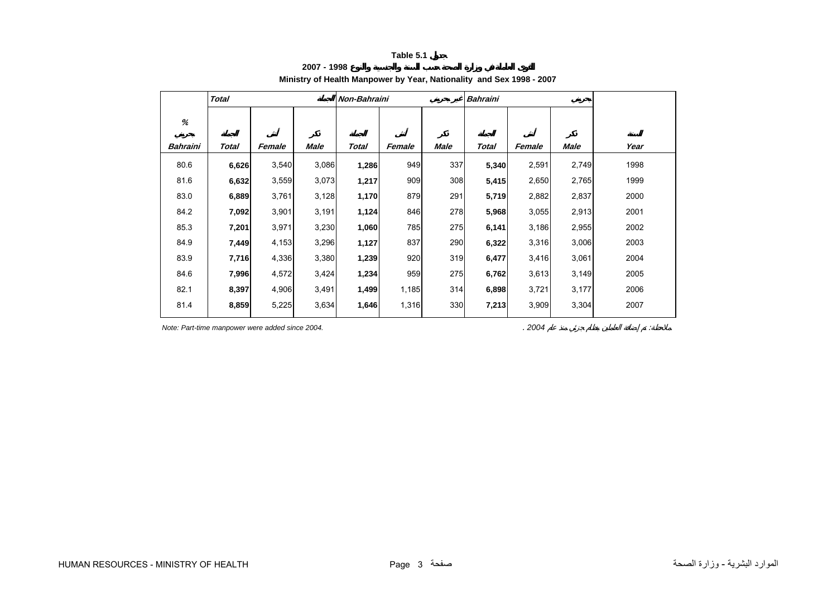**2007 - 1998**

# **Ministry of Health Manpower by Year, Nationality and Sex 1998 - 2007**

<span id="page-1-0"></span>

|          | <b>Total</b> |        |             | Non-Bahraini |        |      | <b>Bahraini</b> |        |       |      |
|----------|--------------|--------|-------------|--------------|--------|------|-----------------|--------|-------|------|
| %        |              |        |             |              |        |      |                 |        |       |      |
| Bahraini | Total        | Female | <b>Male</b> | Total        | Female | Male | <b>Total</b>    | Female | Male  | Year |
| 80.6     | 6,626        | 3,540  | 3,086       | 1,286        | 949    | 337  | 5,340           | 2,591  | 2,749 | 1998 |
| 81.6     | 6,632        | 3,559  | 3,073       | 1,217        | 909    | 308  | 5,415           | 2,650  | 2,765 | 1999 |
| 83.0     | 6,889        | 3,761  | 3,128       | 1,170        | 879    | 291  | 5,719           | 2,882  | 2,837 | 2000 |
| 84.2     | 7,092        | 3,901  | 3,191       | 1,124        | 846    | 278  | 5,968           | 3,055  | 2,913 | 2001 |
| 85.3     | 7,201        | 3,971  | 3,230       | 1,060        | 785    | 275  | 6,141           | 3,186  | 2,955 | 2002 |
| 84.9     | 7,449        | 4,153  | 3,296       | 1,127        | 837    | 290  | 6,322           | 3,316  | 3,006 | 2003 |
| 83.9     | 7,716        | 4,336  | 3,380       | 1,239        | 920    | 319  | 6,477           | 3,416  | 3,061 | 2004 |
| 84.6     | 7,996        | 4,572  | 3,424       | 1,234        | 959    | 275  | 6,762           | 3,613  | 3,149 | 2005 |
| 82.1     | 8,397        | 4,906  | 3,491       | 1,499        | 1,185  | 314  | 6,898           | 3,721  | 3,177 | 2006 |
| 81.4     | 8,859        | 5,225  | 3,634       | 1,646        | 1,316  | 330  | 7,213           | 3,909  | 3,304 | 2007 |

*Note: Part-time manpower were added since 2004.* . *2004* . **2004** . *2004* . *2004* **.** *2004* **.** *<i>2004* **.** *2004* **.** *<b>2004 . <i>2004* . *2004* . *2004* . *2004* . *2004* . *2004* . *2004* **.** *<b>2004 . <i>200*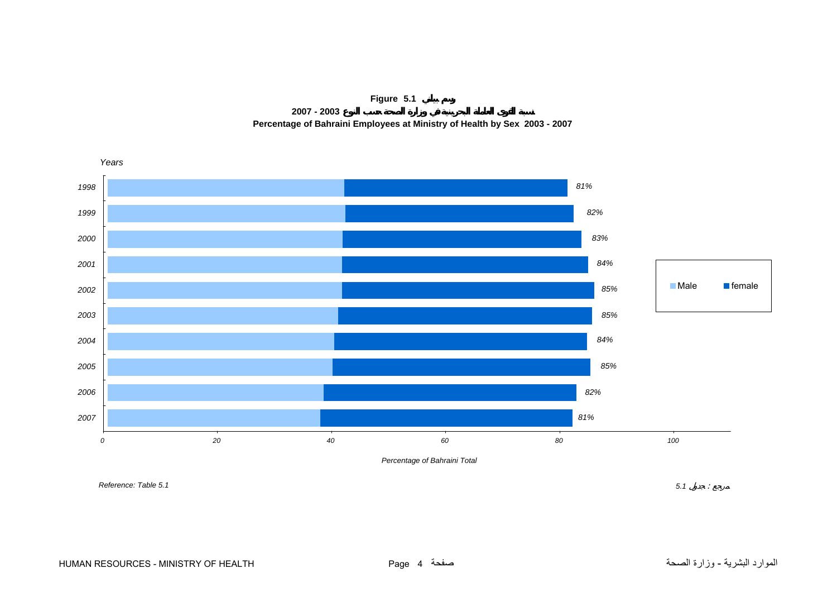

**2007 - 2003Percentage of Bahraini Employees at Ministry of Health by Sex 2003 - 2007**

<span id="page-2-0"></span>

*Percentage of Bahraini Total*

*Reference: Table 5.1*

*5.1* :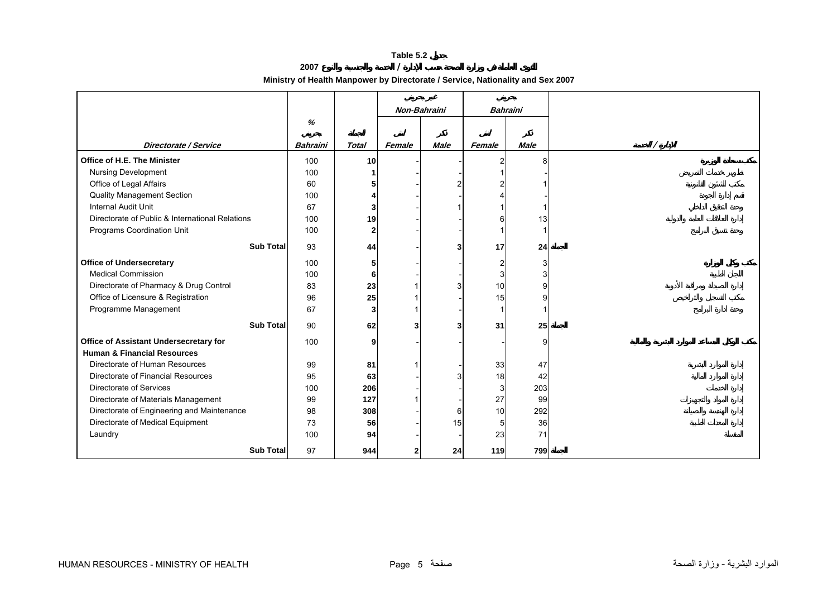**2007 /** 

**Ministry of Health Manpower by Directorate / Service, Nationality and Sex 2007**

<span id="page-3-0"></span>

|                                                 |                 |                |        | Non-Bahraini | <b>Bahraini</b> |             |  |
|-------------------------------------------------|-----------------|----------------|--------|--------------|-----------------|-------------|--|
|                                                 | %               |                |        |              |                 |             |  |
| <b>Directorate / Service</b>                    | <b>Bahraini</b> | <b>Total</b>   | Female | <b>Male</b>  | Female          | <b>Male</b> |  |
|                                                 |                 |                |        |              |                 |             |  |
| Office of H.E. The Minister                     | 100             | 10             |        |              | $\overline{2}$  |             |  |
| Nursing Development                             | 100             |                |        |              | 1               |             |  |
| Office of Legal Affairs                         | 60              | 5              |        |              | $\overline{2}$  |             |  |
| <b>Quality Management Section</b>               | 100             | 4              |        |              |                 |             |  |
| <b>Internal Audit Unit</b>                      | 67              | 3              |        |              |                 |             |  |
| Directorate of Public & International Relations | 100             | 19             |        |              | 6               | 13          |  |
| Programs Coordination Unit                      | 100             | $\overline{2}$ |        |              |                 |             |  |
| <b>Sub Total</b>                                | 93              | 44             |        | 3            | 17              | 24          |  |
| <b>Office of Undersecretary</b>                 | 100             | 5              |        |              | $\overline{2}$  | 3           |  |
| <b>Medical Commission</b>                       | 100             | 6              |        |              | 3               |             |  |
| Directorate of Pharmacy & Drug Control          | 83              | 23             |        |              | 10              | q           |  |
| Office of Licensure & Registration              | 96              | 25             |        |              | 15              |             |  |
| Programme Management                            | 67              | 3              |        |              | $\mathbf 1$     |             |  |
| <b>Sub Total</b>                                | 90              | 62             |        | 3            | 31              | 25          |  |
| Office of Assistant Undersecretary for          | 100             | 9              |        |              |                 | a           |  |
| <b>Human &amp; Financial Resources</b>          |                 |                |        |              |                 |             |  |
| Directorate of Human Resources                  | 99              | 81             |        |              | 33              | 47          |  |
| Directorate of Financial Resources              | 95              | 63             |        |              | 18              | 42          |  |
| Directorate of Services                         | 100             | 206            |        |              | 3               | 203         |  |
| Directorate of Materials Management             | 99              | 127            |        |              | 27              | 99          |  |
| Directorate of Engineering and Maintenance      | 98              | 308            |        | 6            | 10              | 292         |  |
| Directorate of Medical Equipment                | 73              | 56             |        | 15           | 5               | 36          |  |
| Laundry                                         | 100             | 94             |        |              | 23              | 71          |  |
| <b>Sub Total</b>                                | 97              | 944            |        | 24           | 119             | 799         |  |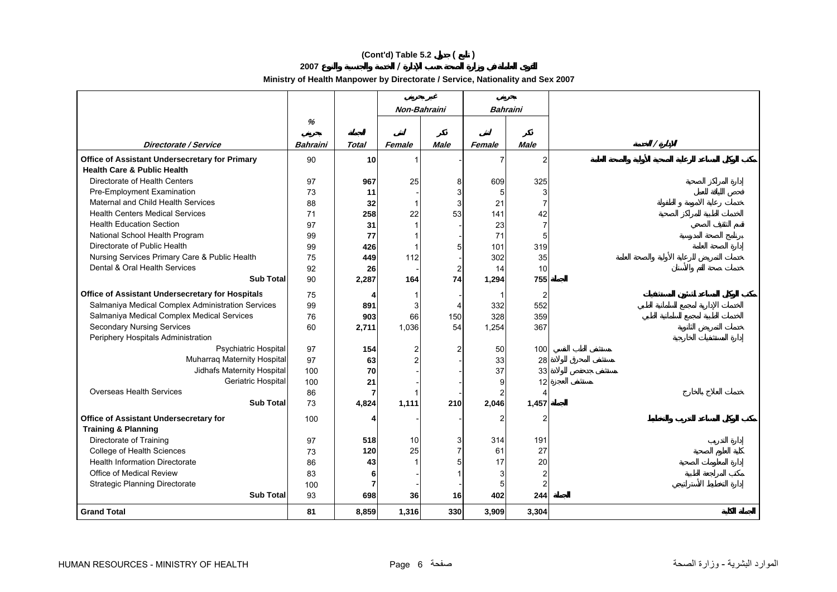# **(Cont'd) Table 5.2 ( )**

**2007 /** 

**Ministry of Health Manpower by Directorate / Service, Nationality and Sex 2007**

|                                                   |          |                | Non-Bahraini   |                | Bahraini       |                |  |
|---------------------------------------------------|----------|----------------|----------------|----------------|----------------|----------------|--|
|                                                   | %        |                |                |                |                |                |  |
|                                                   |          |                |                |                |                |                |  |
| Directorate / Service                             | Bahraini | <b>Total</b>   | Female         | <b>Male</b>    | Female         | <b>Male</b>    |  |
| Office of Assistant Undersecretary for Primary    | 90       | 10             |                |                | 7              | $\overline{2}$ |  |
| <b>Health Care &amp; Public Health</b>            |          |                |                |                |                |                |  |
| Directorate of Health Centers                     | 97       | 967            | 25             | 8              | 609            | 325            |  |
| Pre-Employment Examination                        | 73       | 11             |                | 3              | 5              | 3              |  |
| Maternal and Child Health Services                | 88       | 32             | $\overline{1}$ | 3              | 21             | $\overline{7}$ |  |
| <b>Health Centers Medical Services</b>            | 71       | 258            | 22             | 53             | 141            | 42             |  |
| <b>Health Education Section</b>                   | 97       | 31             |                |                | 23             | $\overline{7}$ |  |
| National School Health Program                    | 99       | 77             |                |                | 71             | 5              |  |
| Directorate of Public Health                      | 99       | 426            |                | 5              | 101            | 319            |  |
| Nursing Services Primary Care & Public Health     | 75       | 449            | 112            |                | 302            | 35             |  |
| Dental & Oral Health Services                     | 92       | 26             |                | $\overline{2}$ | 14             | 10             |  |
| <b>Sub Total</b>                                  | 90       | 2,287          | 164            | 74             | 1,294          | 755            |  |
| Office of Assistant Undersecretary for Hospitals  | 75       |                |                |                | 1              | 2              |  |
| Salmaniya Medical Complex Administration Services | 99       | 891            | 3              |                | 332            | 552            |  |
| Salmaniya Medical Complex Medical Services        | 76       | 903            | 66             | 150            | 328            | 359            |  |
| <b>Secondary Nursing Services</b>                 | 60       | 2,711          | 1,036          | 54             | 1,254          | 367            |  |
| Periphery Hospitals Administration                |          |                |                |                |                |                |  |
| Psychiatric Hospital                              | 97       | 154            | $\overline{c}$ | $\overline{2}$ | 50             | 100            |  |
| Muharraq Maternity Hospital                       | 97       | 63             | 2              |                | 33             | 28             |  |
| Jidhafs Maternity Hospital                        | 100      | 70             |                |                | 37             | 33             |  |
| Geriatric Hospital                                | 100      | 21             |                |                | 9              | 12             |  |
| <b>Overseas Health Services</b>                   | 86       | $\overline{7}$ |                |                | $\overline{c}$ | Δ              |  |
| <b>Sub Total</b>                                  | 73       | 4,824          | 1,111          | 210            | 2,046          | 1,457          |  |
| Office of Assistant Undersecretary for            | 100      | 4              |                |                | 2              | $\overline{2}$ |  |
| <b>Training &amp; Planning</b>                    |          |                |                |                |                |                |  |
| Directorate of Training                           | 97       | 518            | 10             | 3              | 314            | 191            |  |
| College of Health Sciences                        | 73       | 120            | 25             | $\overline{7}$ | 61             | 27             |  |
| <b>Health Information Directorate</b>             | 86       | 43             |                | 5              | 17             | 20             |  |
| Office of Medical Review                          | 83       | 6              |                |                | 3              | $\overline{c}$ |  |
| <b>Strategic Planning Directorate</b>             | 100      | $\overline{7}$ |                |                | 5              | $\mathfrak{p}$ |  |
| <b>Sub Total</b>                                  | 93       | 698            | 36             | 16             | 402            | 244            |  |
| <b>Grand Total</b>                                | 81       | 8,859          | 1,316          | 330            | 3,909          | 3,304          |  |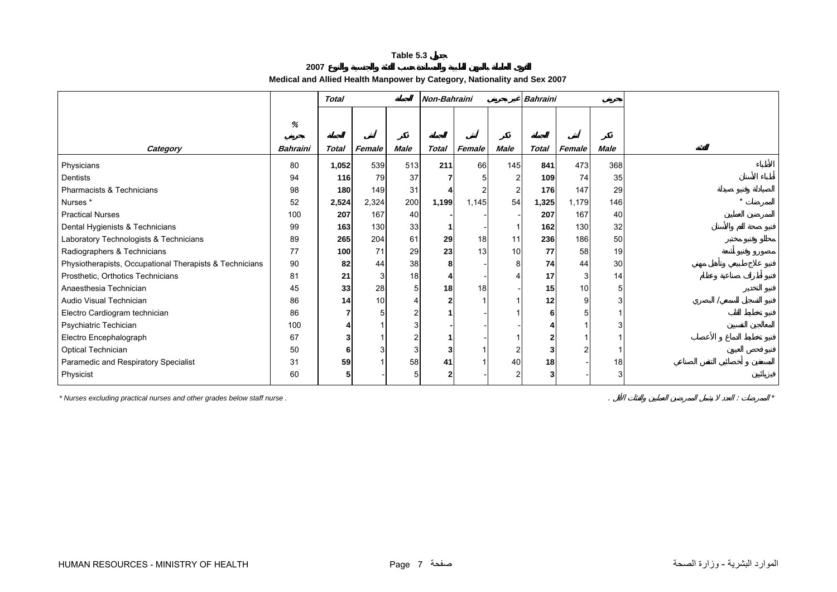# **2007Medical and Allied Health Manpower by Category, Nationality and Sex 2007**

<span id="page-5-0"></span>

|                                                         |                      | <b>Total</b> |        | Non-Bahraini |       |        | Bahraini    |       |        |             |  |
|---------------------------------------------------------|----------------------|--------------|--------|--------------|-------|--------|-------------|-------|--------|-------------|--|
| Category                                                | %<br><b>Bahraini</b> | <b>Total</b> | Female | <b>Male</b>  | Total | Female | <b>Male</b> | Total | Female | <b>Male</b> |  |
| Physicians                                              | 80                   | 1,052        | 539    | 513          | 211   | 66     | 145         | 841   | 473    | 368         |  |
| Dentists                                                | 94                   | 116          | 79     | 37           |       |        |             | 109   | 74     | 35          |  |
| Pharmacists & Technicians                               | 98                   | 180          | 149    | 31           |       |        |             | 176   | 147    | 29          |  |
| Nurses*                                                 | 52                   | 2,524        | 2,324  | 200          | 1,199 | 1,145  | 54          | 1,325 | 1,179  | 146         |  |
| <b>Practical Nurses</b>                                 | 100                  | 207          | 167    | 40           |       |        |             | 207   | 167    | 40          |  |
| Dental Hygienists & Technicians                         | 99                   | 163          | 130    | 33           |       |        |             | 162   | 130    | 32          |  |
| Laboratory Technologists & Technicians                  | 89                   | 265          | 204    | 61           | 29    | 18     | 11          | 236   | 186    | 50          |  |
| Radiographers & Technicians                             | 77                   | 100          | 71     | 29           | 23    | 13     | 10          | 77    | 58     | 19          |  |
| Physiotherapists, Occupational Therapists & Technicians | 90                   | 82           | 44     | 38           | 8     |        | 8           | 74    | 44     | 30          |  |
| Prosthetic, Orthotics Technicians                       | 81                   | 21           | 3      | 18           |       |        |             | 17    | 3      | 14          |  |
| Anaesthesia Technician                                  | 45                   | 33           | 28     |              | 18    | 18     |             | 15    | 10     |             |  |
| Audio Visual Technician                                 | 86                   | 14           | 10     |              |       |        |             | 12    |        |             |  |
| Electro Cardiogram technician                           | 86                   |              |        |              |       |        |             |       |        |             |  |
| Psychiatric Techician                                   | 100                  |              |        |              |       |        |             |       |        |             |  |
| Electro Encephalograph                                  | 67                   |              |        |              |       |        |             |       |        |             |  |
| Optical Technician                                      | 50                   | 6            |        |              |       |        |             |       |        |             |  |
| Paramedic and Respiratory Specialist                    | 31                   | 59           |        | 58           | 41    |        | 40          | 18    |        | 18          |  |
| Physicist                                               | 60                   | 5            |        |              |       |        |             |       |        |             |  |

*\* Nurses excluding practical nurses and other grades below staff nurse .* . : *\**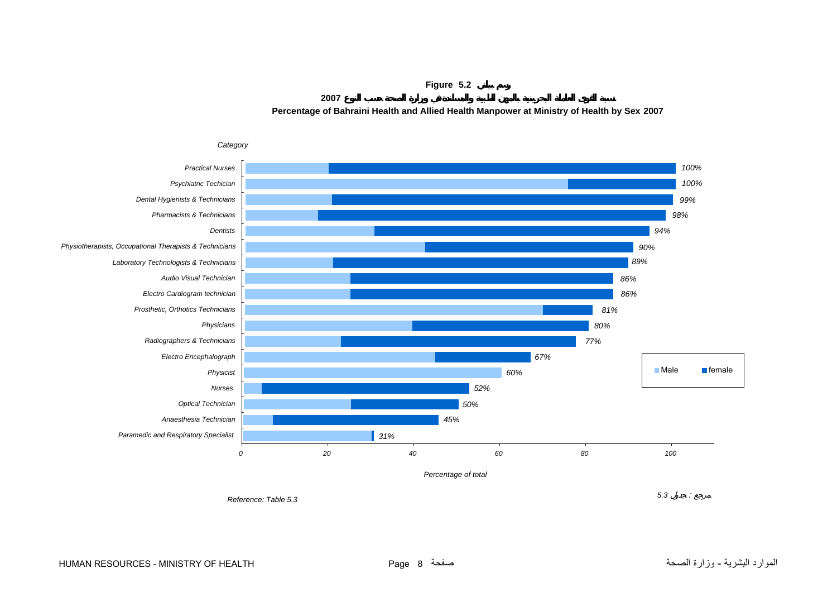**Figure 5.2 2007Percentage of Bahraini Health and Allied Health Manpower at Ministry of Health by Sex 2007**

<span id="page-6-0"></span>

# HUMAN RESOURCES - MINISTRY OF HEALTH Page 8 صفحة الصحة وزارة - البشرية الموارد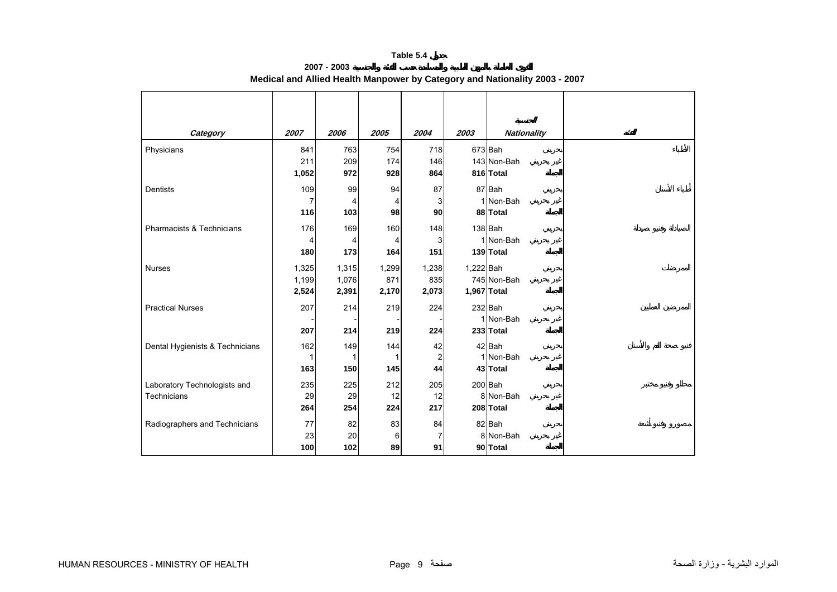**2007 - 2003**

<span id="page-7-0"></span>

| Category                        | 2007  | 2006  | 2005  | 2004           | 2003      | <b>Nationality</b> |
|---------------------------------|-------|-------|-------|----------------|-----------|--------------------|
| Physicians                      | 841   | 763   | 754   | 718            |           | 673 Bah            |
|                                 | 211   | 209   | 174   | 146            |           | 143 Non-Bah        |
|                                 | 1,052 | 972   | 928   | 864            |           | 816 Total          |
| Dentists                        | 109   | 99    | 94    | 87             |           | 87 Bah             |
|                                 | 7     | 4     | 4     | 3              |           | 1 Non-Bah          |
|                                 | 116   | 103   | 98    | 90             |           | 88 Total           |
| Pharmacists & Technicians       | 176   | 169   | 160   | 148            |           | 138 Bah            |
|                                 |       | 4     | 4     | 3              |           | 1 Non-Bah          |
|                                 | 180   | 173   | 164   | 151            |           | 139 Total          |
| <b>Nurses</b>                   | 1,325 | 1,315 | 1,299 | 1,238          | 1,222 Bah |                    |
|                                 | 1,199 | 1,076 | 871   | 835            |           | 745 Non-Bah        |
|                                 | 2,524 | 2,391 | 2,170 | 2,073          |           | 1,967 Total        |
| <b>Practical Nurses</b>         | 207   | 214   | 219   | 224            |           | 232 Bah            |
|                                 |       |       |       |                |           | 1 Non-Bah          |
|                                 | 207   | 214   | 219   | 224            |           | 233 Total          |
| Dental Hygienists & Technicians | 162   | 149   | 144   | 42             |           | 42 Bah             |
|                                 |       | 1     |       | 2              |           | 1 Non-Bah          |
|                                 | 163   | 150   | 145   | 44             |           | 43 Total           |
| Laboratory Technologists and    | 235   | 225   | 212   | 205            |           | 200 Bah            |
| <b>Technicians</b>              | 29    | 29    | 12    | 12             |           | 8 Non-Bah          |
|                                 | 264   | 254   | 224   | 217            |           | 208 Total          |
| Radiographers and Technicians   | 77    | 82    | 83    | 84             |           | 82 Bah             |
|                                 | 23    | 20    | 6     | $\overline{7}$ |           | 8 Non-Bah          |
|                                 | 100   | 102   | 89    | 91             |           | 90 Total           |

**Medical and Allied Health Manpower by Category and Nationality 2003 - 2007**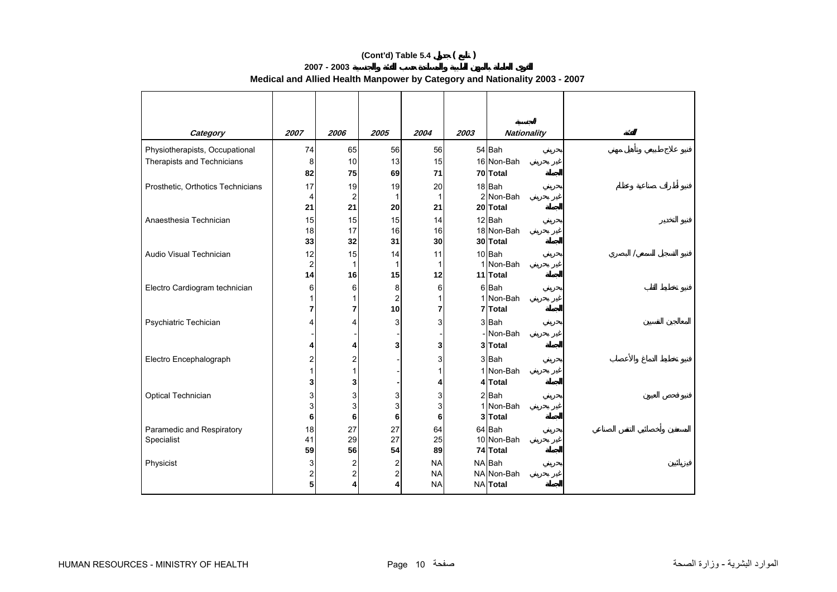# **(Cont'd) Table 5.4 ( )**

#### **2007 - 2003 Medical and Allied Health Manpower by Category and Nationality 2003 - 2007**

| Category                                | 2007                | 2006           | 2005                    | 2004              | 2003 | <b>Nationality</b>   |
|-----------------------------------------|---------------------|----------------|-------------------------|-------------------|------|----------------------|
| Physiotherapists, Occupational          | 74                  | 65             | 56                      | 56                |      | 54 Bah               |
| Therapists and Technicians              | 8                   | 10             | 13                      | 15                |      | 16 Non-Bah           |
|                                         | 82                  | 75             | 69                      | 71                |      | 70 Total             |
| Prosthetic, Orthotics Technicians       | 17                  | 19             | 19                      | 20                |      | 18 Bah               |
|                                         | $\overline{4}$      | $\overline{2}$ | $\mathbf{1}$            | $\mathbf{1}$      |      | 2 Non-Bah            |
|                                         | 21                  | 21             | 20                      | 21                |      | 20 Total             |
| Anaesthesia Technician                  | 15                  | 15             | 15                      | 14                |      | 12 Bah               |
|                                         | 18                  | 17             | 16                      | 16                |      | 18 Non-Bah           |
|                                         | 33                  | 32             | 31                      | 30                |      | 30 Total             |
| Audio Visual Technician                 | 12                  | 15             | 14                      | 11                |      | 10 Bah               |
|                                         | $\overline{c}$      | 1              | $\mathbf{1}$            | $\mathbf{1}$      |      | 1 Non-Bah            |
|                                         | 14                  | 16             | 15                      | 12                |      | 11 Total             |
| Electro Cardiogram technician           | 6<br>1              | 6              | 8                       | 6                 |      | 6Bah<br>1 Non-Bah    |
|                                         | $\overline{7}$      | 7              | $\overline{c}$<br>10    | $\mathbf{1}$<br>7 |      | 7 Total              |
|                                         | 4                   |                | 3                       | 3                 |      | 3 Bah                |
| Psychiatric Techician                   |                     |                |                         |                   |      | - Non-Bah            |
|                                         | 4                   |                | 3                       | 3                 |      | 3 Total              |
|                                         |                     |                |                         |                   |      |                      |
| Electro Encephalograph                  | $\overline{c}$<br>1 | 2              |                         | 3                 |      | 3 Bah                |
|                                         |                     |                |                         | 1                 |      | 1 Non-Bah            |
|                                         | 3                   | 3              |                         | 4                 |      | 4 Total              |
| Optical Technician                      | 3                   | 3              | 3                       | 3                 |      | 2 Bah                |
|                                         | 3<br>6              | 3<br>6         | 3<br>6                  | 3<br>6            |      | 1 Non-Bah<br>3 Total |
|                                         |                     |                | 27                      |                   |      | 64 Bah               |
| Paramedic and Respiratory<br>Specialist | 18<br>41            | 27<br>29       | 27                      | 64<br>25          |      | 10 Non-Bah           |
|                                         | 59                  | 56             | 54                      | 89                |      | 74 Total             |
| Physicist                               | 3                   | 2              | $\overline{\mathbf{c}}$ | <b>NA</b>         |      | NA Bah               |
|                                         | $\overline{c}$      | 2              | 2                       | <b>NA</b>         |      | NA Non-Bah           |
|                                         | 5                   | 4              | 4                       | <b>NA</b>         |      | <b>NA</b> Total      |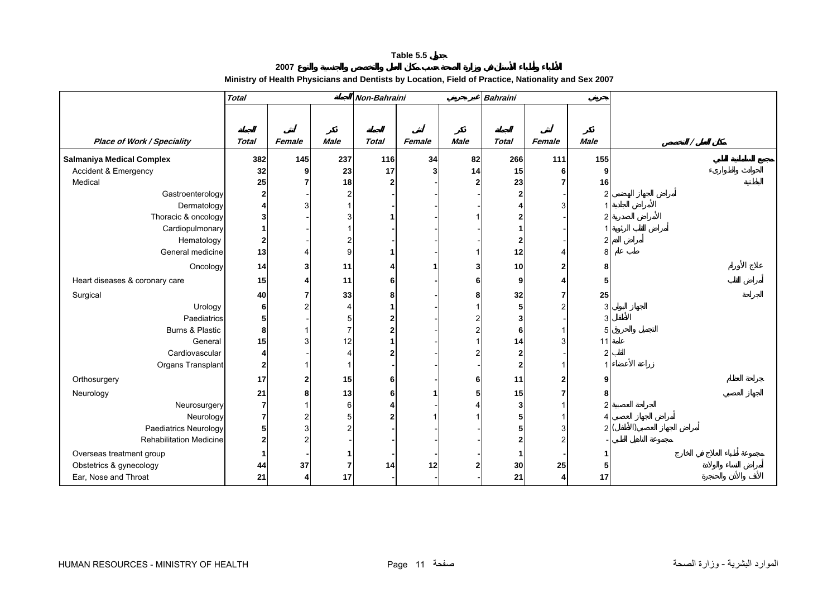#### **2007 Ministry of Health Physicians and Dentists by Location, Field of Practice, Nationality and Sex 2007**

<span id="page-9-0"></span>

|                                   | <b>Total</b>   |        |                           | Non-Bahraini   |        |                         | <b>Bahraini</b>         |                |                |  |
|-----------------------------------|----------------|--------|---------------------------|----------------|--------|-------------------------|-------------------------|----------------|----------------|--|
|                                   |                |        |                           |                |        |                         |                         |                |                |  |
|                                   |                |        |                           |                |        |                         |                         |                |                |  |
| <b>Place of Work / Speciality</b> | <b>Total</b>   | Female | <b>Male</b>               | <b>Total</b>   | Female | <b>Male</b>             | <b>Total</b>            | Female         | <b>Male</b>    |  |
| <b>Salmaniya Medical Complex</b>  | 382            | 145    | 237                       | 116            | 34     | 82                      | 266                     | 111            | 155            |  |
| Accident & Emergency              | 32             | 9      | 23                        | 17             | 3      | 14                      | 15                      | 6              | 9              |  |
| Medical                           | 25             |        | 18                        | $\overline{2}$ |        | 2                       | 23                      | 7              | 16             |  |
| Gastroenterology                  | $\mathbf{2}$   |        | 2                         |                |        |                         | $\overline{2}$          |                | $\overline{c}$ |  |
| Dermatology                       |                |        |                           |                |        |                         | Δ                       |                |                |  |
| Thoracic & oncology               |                |        |                           |                |        |                         | $\overline{2}$          |                |                |  |
| Cardiopulmonary                   |                |        |                           |                |        |                         |                         |                |                |  |
| Hematology                        | $\mathbf{2}$   |        |                           |                |        |                         | $\mathbf{2}$            |                | $\overline{2}$ |  |
| General medicine                  | 13             |        | 9                         |                |        |                         | 12                      | Δ              | 8              |  |
| Oncology                          | 14             |        | 11                        |                |        | 3                       | 10                      |                | 8              |  |
| Heart diseases & coronary care    | 15             |        | 11                        | 6              |        | 6                       | 9                       |                | 5              |  |
| Surgical                          | 40             |        | 33                        | 8              |        | 8                       | 32                      |                | 25             |  |
| Urology                           | 6 <sup>1</sup> |        | 4                         |                |        |                         | 5                       | $\overline{2}$ | 3              |  |
| Paediatrics                       | 5              |        |                           |                |        | $\overline{c}$          | 3                       |                | 3              |  |
| Burns & Plastic                   | 8              |        |                           |                |        | $\overline{c}$          | 6                       |                | 5              |  |
| General                           | 15             |        | 12                        |                |        |                         | 14                      | 3              | 11             |  |
| Cardiovascular                    |                |        | $\boldsymbol{\varLambda}$ |                |        | Ω                       | $\overline{\mathbf{2}}$ |                | $\overline{c}$ |  |
| Organs Transplant                 | $\mathbf{2}$   |        |                           |                |        |                         | $\overline{2}$          |                |                |  |
| Orthosurgery                      | 17             |        | 15                        | 6              |        | 6                       | 11                      | 2              | 9              |  |
| Neurology                         | 21             |        | 13                        | 6              |        | 5                       | 15                      |                | 8              |  |
| Neurosurgery                      | $\overline{7}$ |        | 6                         |                |        |                         | 3                       |                | $\overline{2}$ |  |
| Neurology                         |                |        |                           |                |        |                         | 5                       |                | 4              |  |
| Paediatrics Neurology             | 5              |        |                           |                |        |                         | 5                       | 3              | $\overline{c}$ |  |
| <b>Rehabilitation Medicine</b>    |                |        |                           |                |        |                         | 2                       | $\mathfrak{p}$ |                |  |
| Overseas treatment group          |                |        |                           |                |        |                         | 1                       |                |                |  |
| Obstetrics & gynecology           | 44             | 37     |                           | 14             | 12     | $\overline{\mathbf{c}}$ | 30                      | 25             | 5              |  |
| Ear, Nose and Throat              | 21             |        | 17                        |                |        |                         | 21                      | 4              | 17             |  |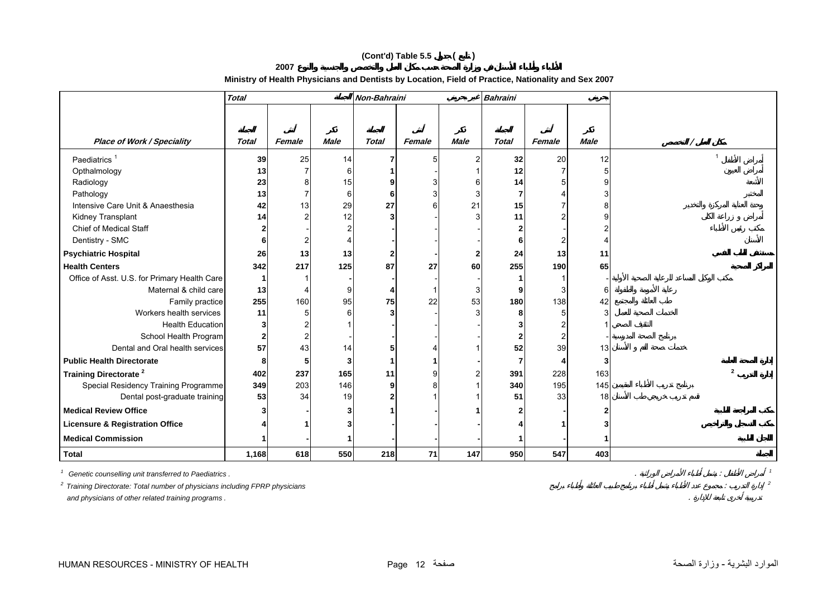# **(Cont'd) Table 5.5 ( )**

**2007**

# **Ministry of Health Physicians and Dentists by Location, Field of Practice, Nationality and Sex 2007**

|                                              | <b>Total</b> |        |             | Non-Bahraini |        |               | <b>Bahraini</b>         |                |             |                          |
|----------------------------------------------|--------------|--------|-------------|--------------|--------|---------------|-------------------------|----------------|-------------|--------------------------|
|                                              |              |        |             |              |        |               |                         |                |             |                          |
|                                              |              |        |             |              |        |               |                         |                |             |                          |
| <b>Place of Work / Speciality</b>            | <b>Total</b> | Female | <b>Male</b> | <b>Total</b> | Female | <b>Male</b>   | <b>Total</b>            | Female         | <b>Male</b> |                          |
| Paediatrics <sup>1</sup>                     | 39           | 25     | 14          |              | 5      | $\mathcal{P}$ | 32                      | 20             | 12          | $\overline{1}$           |
| Opthalmology                                 | 13           |        | 6           |              |        |               | 12                      |                | 5           |                          |
| Radiology                                    | 23           |        | 15          |              |        | 6             | 14                      |                |             |                          |
| Pathology                                    | 13           |        | 6           | 6            |        |               | 7                       |                |             |                          |
| Intensive Care Unit & Anaesthesia            | 42           | 13     | 29          | 27           |        | 21            | 15                      |                |             |                          |
| Kidney Transplant                            | 14           |        | 12          |              |        |               | 11                      |                |             |                          |
| <b>Chief of Medical Staff</b>                |              |        |             |              |        |               | 2                       |                |             |                          |
| Dentistry - SMC                              |              |        |             |              |        |               | 6                       | 2              |             |                          |
| <b>Psychiatric Hospital</b>                  | 26           | 13     | 13          |              |        |               | 24                      | 13             | 11          |                          |
| <b>Health Centers</b>                        | 342          | 217    | 125         | 87           | 27     | <b>60</b>     | 255                     | 190            | 65          |                          |
| Office of Asst. U.S. for Primary Health Care |              |        |             |              |        |               |                         |                |             |                          |
| Maternal & child care                        | 13           |        | 9           |              |        | 3             | 9                       | 3              | 6           |                          |
| Family practice                              | 255          | 160    | 95          | 75           | 22     | 53            | 180                     | 138            | 42          |                          |
| Workers health services                      | 11           |        | 6           |              |        |               | 8                       | 5              |             |                          |
| <b>Health Education</b>                      |              |        |             |              |        |               |                         |                |             |                          |
| School Health Program                        |              |        |             |              |        |               | $\overline{\mathbf{2}}$ | $\overline{2}$ |             |                          |
| Dental and Oral health services              | 57           | 43     | 14          |              |        |               | 52                      | 39             | 13          |                          |
| <b>Public Health Directorate</b>             |              |        | 3           |              |        |               |                         | 4              | 3           |                          |
| <b>Training Directorate<sup>2</sup></b>      | 402          | 237    | 165         | 11           |        |               | 391                     | 228            | 163         | $\overline{\phantom{a}}$ |
| Special Residency Training Programme         | 349          | 203    | 146         | 9            | 8      |               | 340                     | 195            | 145         |                          |
| Dental post-graduate training                | 53           | 34     | 19          |              |        |               | 51                      | 33             | 18          |                          |
| <b>Medical Review Office</b>                 |              |        |             |              |        |               | $\overline{\mathbf{c}}$ |                |             |                          |
| <b>Licensure &amp; Registration Office</b>   |              |        |             |              |        |               |                         |                |             |                          |
| <b>Medical Commission</b>                    |              |        |             |              |        |               |                         |                |             |                          |
| <b>Total</b>                                 | 1,168        | 618    | 550         | 218          | 71     | 147           | 950                     | 547            | 403         |                          |

*1 Genetic counselling unit transferred to Paediatrics .* . : *<sup>1</sup> 2 Training Directorate: Total number of physicians including FPRP physicians* : *<sup>2</sup> and physicians of other related training programs .* .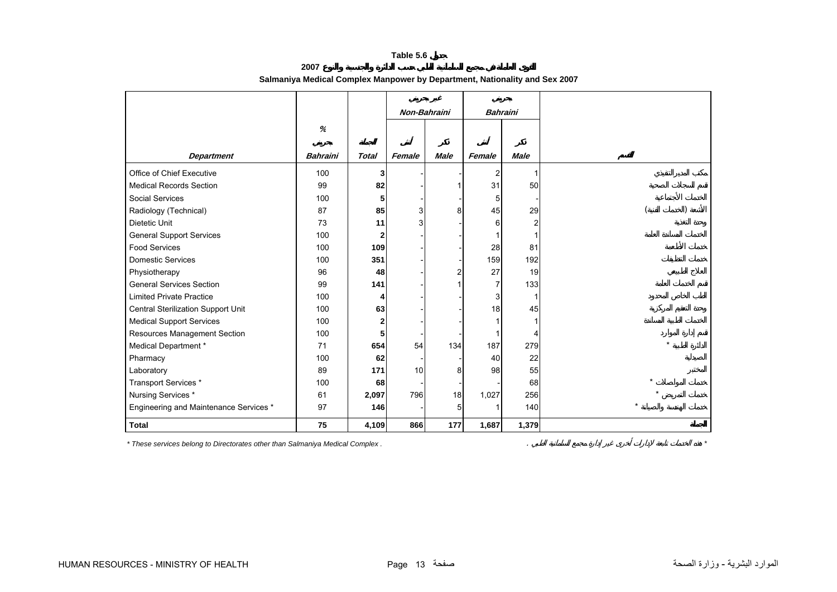<span id="page-11-0"></span>

|                                        |                 |              | Non-Bahraini |             | <b>Bahraini</b> |              |                      |
|----------------------------------------|-----------------|--------------|--------------|-------------|-----------------|--------------|----------------------|
|                                        | %               |              |              |             |                 |              |                      |
|                                        |                 |              |              |             |                 |              |                      |
| <b>Department</b>                      | <b>Bahraini</b> | <b>Total</b> | Female       | <b>Male</b> | Female          | <b>Male</b>  |                      |
| Office of Chief Executive              | 100             | 3            |              |             | 2               | $\mathbf{1}$ |                      |
| <b>Medical Records Section</b>         | 99              | 82           |              |             | 31              | 50           |                      |
| <b>Social Services</b>                 | 100             | 5            |              |             | 5               |              |                      |
| Radiology (Technical)                  | 87              | 85           | 3            | 8           | 45              | 29           |                      |
| Dietetic Unit                          | 73              | 11           | 3            |             | 6               |              |                      |
| <b>General Support Services</b>        | 100             | $\mathbf{2}$ |              |             |                 |              |                      |
| <b>Food Services</b>                   | 100             | 109          |              |             | 28              | 81           |                      |
| <b>Domestic Services</b>               | 100             | 351          |              |             | 159             | 192          |                      |
| Physiotherapy                          | 96              | 48           |              | 2           | 27              | 19           |                      |
| <b>General Services Section</b>        | 99              | 141          |              |             | 7               | 133          |                      |
| <b>Limited Private Practice</b>        | 100             |              |              |             | 3               |              |                      |
| Central Sterilization Support Unit     | 100             | 63           |              |             | 18              | 45           |                      |
| <b>Medical Support Services</b>        | 100             | 2            |              |             |                 |              |                      |
| Resources Management Section           | 100             |              |              |             |                 | 4            |                      |
| Medical Department *                   | 71              | 654          | 54           | 134         | 187             | 279          | $\ddot{\phantom{0}}$ |
| Pharmacy                               | 100             | 62           |              |             | 40              | 22           |                      |
| Laboratory                             | 89              | 171          | 10           | 8           | 98              | 55           |                      |
| Transport Services *                   | 100             | 68           |              |             |                 | 68           |                      |
| Nursing Services *                     | 61              | 2,097        | 796          | 18          | 1,027           | 256          |                      |
| Engineering and Maintenance Services * | 97              | 146          |              | 5           |                 | 140          |                      |
| <b>Total</b>                           | 75              | 4,109        | 866          | 177         | 1,687           | 1,379        |                      |

**2007 Salmaniya Medical Complex Manpower by Department, Nationality and Sex 2007**

*\* These services belong to Directorates other than Salmaniya Medical Complex .* . *\**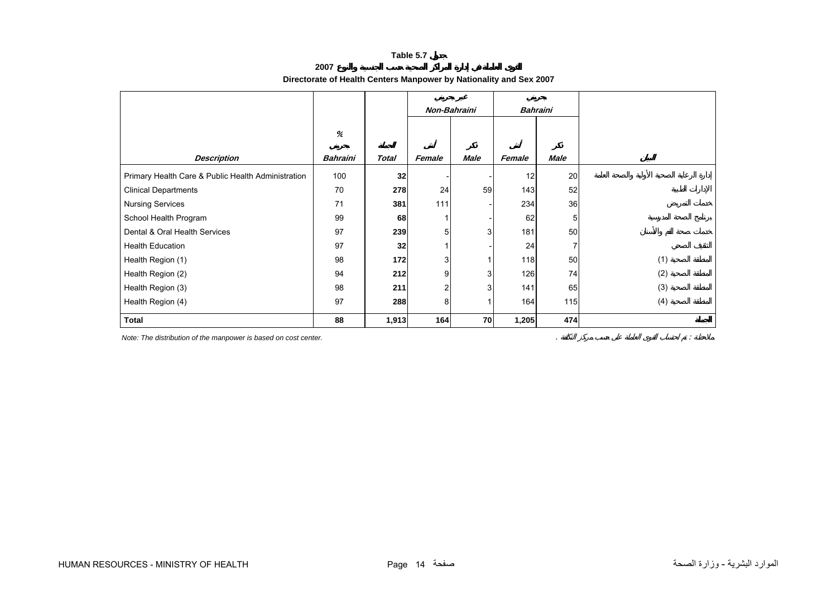**2007**

# **Directorate of Health Centers Manpower by Nationality and Sex 2007**

<span id="page-12-0"></span>

|                                                    |                 |              |                | Non-Bahraini |        | <b>Bahraini</b> |     |
|----------------------------------------------------|-----------------|--------------|----------------|--------------|--------|-----------------|-----|
|                                                    | %               |              |                |              |        |                 |     |
| <b>Description</b>                                 | <b>Bahraini</b> | <b>Total</b> | Female         | Male         | Female | <b>Male</b>     |     |
| Primary Health Care & Public Health Administration | 100             | 32           |                |              | 12     | 20              |     |
| <b>Clinical Departments</b>                        | 70              | 278          | 24             | 59           | 143    | 52              |     |
| <b>Nursing Services</b>                            | 71              | 381          | 111            |              | 234    | 36              |     |
| School Health Program                              | 99              | 68           |                |              | 62     | 5               |     |
| Dental & Oral Health Services                      | 97              | 239          | 5 <sup>1</sup> | 3            | 181    | 50              |     |
| <b>Health Education</b>                            | 97              | 32           |                |              | 24     | 7               |     |
| Health Region (1)                                  | 98              | 172          | 3              |              | 118    | 50              | (1) |
| Health Region (2)                                  | 94              | 212          | 9              | 3            | 126    | 74              | (2) |
| Health Region (3)                                  | 98              | 211          | $\overline{c}$ | 3            | 141    | 65              | (3) |
| Health Region (4)                                  | 97              | 288          | 8              |              | 164    | 115             | (4) |
| <b>Total</b>                                       | 88              | 1,913        | 164            | 70           | 1,205  | 474             |     |

*Note: The distribution of the manpower is based on cost center.* . :

HUMAN RESOURCES - MINISTRY OF HEALTH Page 14 صفحة الصحة وزارة - البشرية الموارد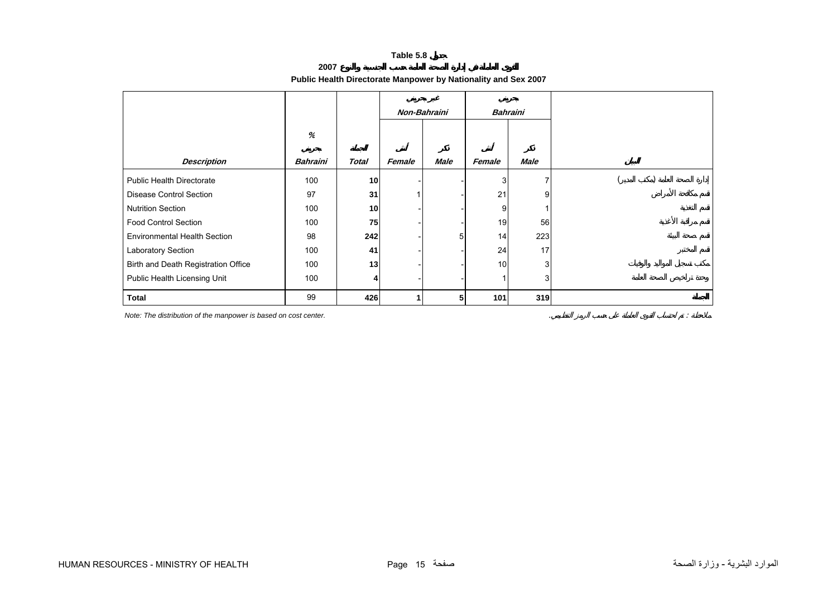**2007**

# **Public Health Directorate Manpower by Nationality and Sex 2007**

<span id="page-13-0"></span>

|                                     |                 |               |        | Non-Bahraini |        | <b>Bahraini</b> |  |
|-------------------------------------|-----------------|---------------|--------|--------------|--------|-----------------|--|
|                                     | %               |               |        |              |        |                 |  |
| <b>Description</b>                  | <b>Bahraini</b> | <b>Total</b>  | Female | <b>Male</b>  | Female | Male            |  |
| <b>Public Health Directorate</b>    | 100             | 10            |        |              | 3      |                 |  |
| <b>Disease Control Section</b>      | 97              | 31            |        |              | 21     | 9               |  |
| <b>Nutrition Section</b>            | 100             | 10            |        |              | 9      |                 |  |
| <b>Food Control Section</b>         | 100             | 75            |        |              | 19     | 56              |  |
| <b>Environmental Health Section</b> | 98              | 242           |        | 5            | 14     | 223             |  |
| Laboratory Section                  | 100             | 41            |        |              | 24     | 17              |  |
| Birth and Death Registration Office | 100             | 13            |        |              | 10     | 3               |  |
| Public Health Licensing Unit        | 100             | $\frac{4}{ }$ |        |              | 1      | 3               |  |
| <b>Total</b>                        | 99              | 426           |        | 5            | 101    | 319             |  |

*Note: The distribution of the manpower is based on cost center.* . :